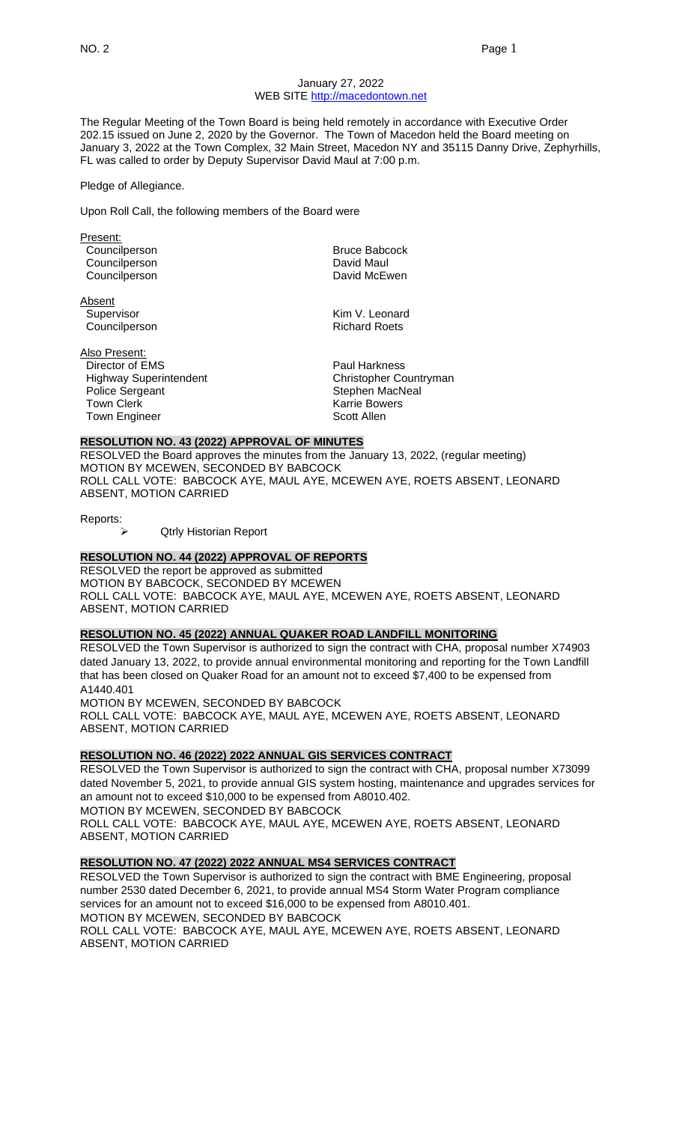## January 27, 2022 WEB SITE [http://macedontown.net](http://macedontown.net/)

The Regular Meeting of the Town Board is being held remotely in accordance with Executive Order 202.15 issued on June 2, 2020 by the Governor. The Town of Macedon held the Board meeting on January 3, 2022 at the Town Complex, 32 Main Street, Macedon NY and 35115 Danny Drive, Zephyrhills, FL was called to order by Deputy Supervisor David Maul at 7:00 p.m.

Pledge of Allegiance.

Upon Roll Call, the following members of the Board were

Present: Councilperson **Bruce Babcock** Councilperson **David Maul** 

Absent Councilperson

Councilperson **David McEwen** 

Supervisor **Kim V. Leonard**<br>Councilperson **Council** Council Council Development Richard Roets

Also Present: Director of EMS Paul Harkness Highway Superintendent Christopher Countryman Police Sergeant **Stephen MacNeal** Town Clerk **Karrie Bowers**<br>Town Engineer **Karrie Bowers** Scott Allen Town Engineer

## **RESOLUTION NO. 43 (2022) APPROVAL OF MINUTES**

RESOLVED the Board approves the minutes from the January 13, 2022, (regular meeting) MOTION BY MCEWEN, SECONDED BY BABCOCK ROLL CALL VOTE: BABCOCK AYE, MAUL AYE, MCEWEN AYE, ROETS ABSENT, LEONARD ABSENT, MOTION CARRIED

Reports:

➢ Qtrly Historian Report

## **RESOLUTION NO. 44 (2022) APPROVAL OF REPORTS**

RESOLVED the report be approved as submitted MOTION BY BABCOCK, SECONDED BY MCEWEN ROLL CALL VOTE: BABCOCK AYE, MAUL AYE, MCEWEN AYE, ROETS ABSENT, LEONARD ABSENT, MOTION CARRIED

## **RESOLUTION NO. 45 (2022) ANNUAL QUAKER ROAD LANDFILL MONITORING**

RESOLVED the Town Supervisor is authorized to sign the contract with CHA, proposal number X74903 dated January 13, 2022, to provide annual environmental monitoring and reporting for the Town Landfill that has been closed on Quaker Road for an amount not to exceed \$7,400 to be expensed from A1440.401

MOTION BY MCEWEN, SECONDED BY BABCOCK ROLL CALL VOTE: BABCOCK AYE, MAUL AYE, MCEWEN AYE, ROETS ABSENT, LEONARD ABSENT, MOTION CARRIED

# **RESOLUTION NO. 46 (2022) 2022 ANNUAL GIS SERVICES CONTRACT**

RESOLVED the Town Supervisor is authorized to sign the contract with CHA, proposal number X73099 dated November 5, 2021, to provide annual GIS system hosting, maintenance and upgrades services for an amount not to exceed \$10,000 to be expensed from A8010.402. MOTION BY MCEWEN, SECONDED BY BABCOCK

ROLL CALL VOTE: BABCOCK AYE, MAUL AYE, MCEWEN AYE, ROETS ABSENT, LEONARD ABSENT, MOTION CARRIED

## **RESOLUTION NO. 47 (2022) 2022 ANNUAL MS4 SERVICES CONTRACT**

RESOLVED the Town Supervisor is authorized to sign the contract with BME Engineering, proposal number 2530 dated December 6, 2021, to provide annual MS4 Storm Water Program compliance services for an amount not to exceed \$16,000 to be expensed from A8010.401. MOTION BY MCEWEN, SECONDED BY BABCOCK

ROLL CALL VOTE: BABCOCK AYE, MAUL AYE, MCEWEN AYE, ROETS ABSENT, LEONARD ABSENT, MOTION CARRIED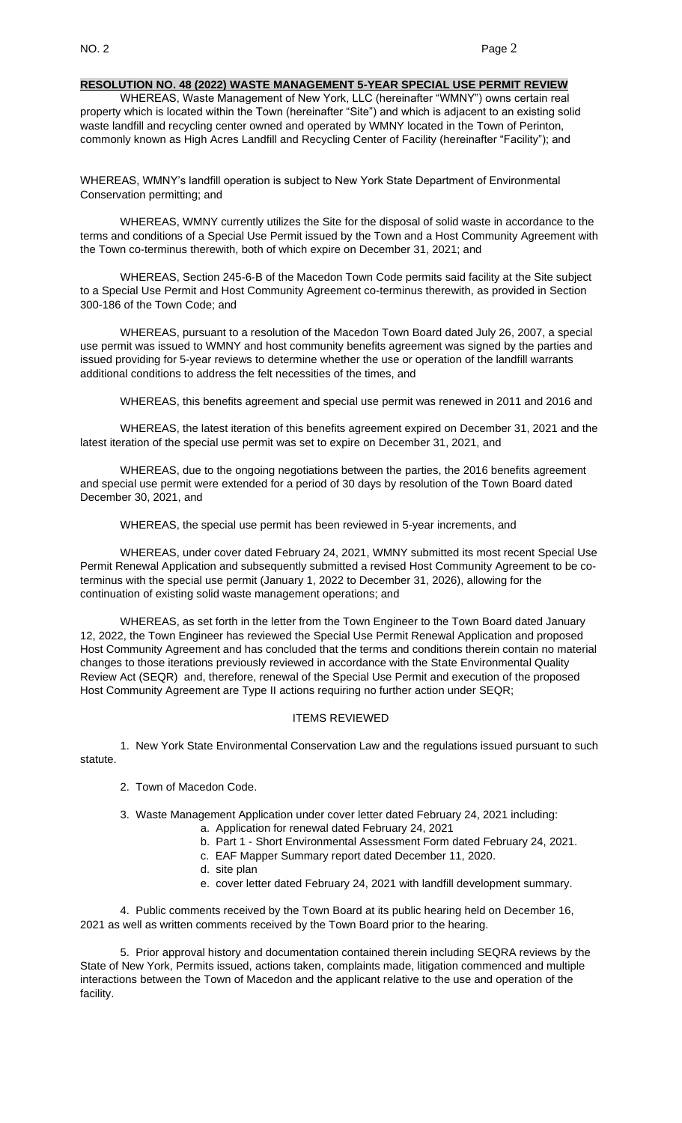#### **RESOLUTION NO. 48 (2022) WASTE MANAGEMENT 5-YEAR SPECIAL USE PERMIT REVIEW**

WHEREAS, Waste Management of New York, LLC (hereinafter "WMNY") owns certain real property which is located within the Town (hereinafter "Site") and which is adjacent to an existing solid waste landfill and recycling center owned and operated by WMNY located in the Town of Perinton, commonly known as High Acres Landfill and Recycling Center of Facility (hereinafter "Facility"); and

WHEREAS, WMNY's landfill operation is subject to New York State Department of Environmental Conservation permitting; and

WHEREAS, WMNY currently utilizes the Site for the disposal of solid waste in accordance to the terms and conditions of a Special Use Permit issued by the Town and a Host Community Agreement with the Town co-terminus therewith, both of which expire on December 31, 2021; and

WHEREAS, Section 245-6-B of the Macedon Town Code permits said facility at the Site subject to a Special Use Permit and Host Community Agreement co-terminus therewith, as provided in Section 300-186 of the Town Code; and

WHEREAS, pursuant to a resolution of the Macedon Town Board dated July 26, 2007, a special use permit was issued to WMNY and host community benefits agreement was signed by the parties and issued providing for 5-year reviews to determine whether the use or operation of the landfill warrants additional conditions to address the felt necessities of the times, and

WHEREAS, this benefits agreement and special use permit was renewed in 2011 and 2016 and

WHEREAS, the latest iteration of this benefits agreement expired on December 31, 2021 and the latest iteration of the special use permit was set to expire on December 31, 2021, and

WHEREAS, due to the ongoing negotiations between the parties, the 2016 benefits agreement and special use permit were extended for a period of 30 days by resolution of the Town Board dated December 30, 2021, and

WHEREAS, the special use permit has been reviewed in 5-year increments, and

WHEREAS, under cover dated February 24, 2021, WMNY submitted its most recent Special Use Permit Renewal Application and subsequently submitted a revised Host Community Agreement to be coterminus with the special use permit (January 1, 2022 to December 31, 2026), allowing for the continuation of existing solid waste management operations; and

WHEREAS, as set forth in the letter from the Town Engineer to the Town Board dated January 12, 2022, the Town Engineer has reviewed the Special Use Permit Renewal Application and proposed Host Community Agreement and has concluded that the terms and conditions therein contain no material changes to those iterations previously reviewed in accordance with the State Environmental Quality Review Act (SEQR) and, therefore, renewal of the Special Use Permit and execution of the proposed Host Community Agreement are Type II actions requiring no further action under SEQR;

## ITEMS REVIEWED

1. New York State Environmental Conservation Law and the regulations issued pursuant to such statute.

- 2. Town of Macedon Code.
- 3. Waste Management Application under cover letter dated February 24, 2021 including:
	- a. Application for renewal dated February 24, 2021
	- b. Part 1 Short Environmental Assessment Form dated February 24, 2021.
	- c. EAF Mapper Summary report dated December 11, 2020.
	- d. site plan
	- e. cover letter dated February 24, 2021 with landfill development summary.

4. Public comments received by the Town Board at its public hearing held on December 16, 2021 as well as written comments received by the Town Board prior to the hearing.

5. Prior approval history and documentation contained therein including SEQRA reviews by the State of New York, Permits issued, actions taken, complaints made, litigation commenced and multiple interactions between the Town of Macedon and the applicant relative to the use and operation of the facility.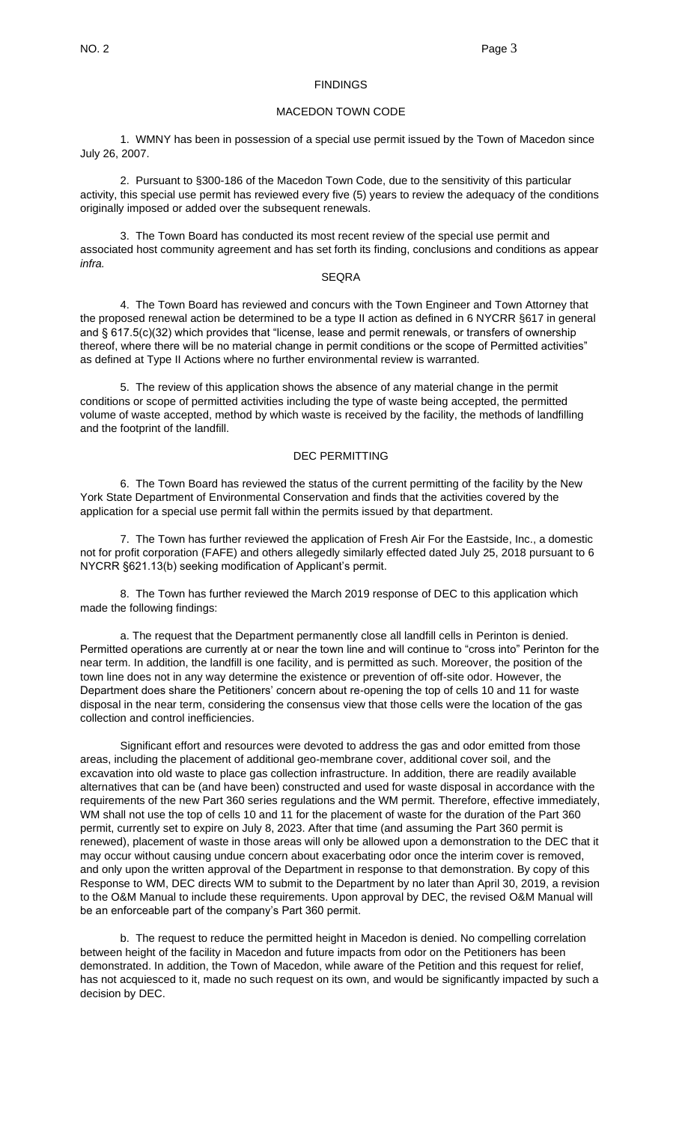#### **FINDINGS**

#### MACEDON TOWN CODE

1. WMNY has been in possession of a special use permit issued by the Town of Macedon since July 26, 2007.

2. Pursuant to §300-186 of the Macedon Town Code, due to the sensitivity of this particular activity, this special use permit has reviewed every five (5) years to review the adequacy of the conditions originally imposed or added over the subsequent renewals.

3. The Town Board has conducted its most recent review of the special use permit and associated host community agreement and has set forth its finding, conclusions and conditions as appear *infra.*

#### SEQRA

4. The Town Board has reviewed and concurs with the Town Engineer and Town Attorney that the proposed renewal action be determined to be a type II action as defined in 6 NYCRR §617 in general and § 617.5(c)(32) which provides that "license, lease and permit renewals, or transfers of ownership thereof, where there will be no material change in permit conditions or the scope of Permitted activities" as defined at Type II Actions where no further environmental review is warranted.

5. The review of this application shows the absence of any material change in the permit conditions or scope of permitted activities including the type of waste being accepted, the permitted volume of waste accepted, method by which waste is received by the facility, the methods of landfilling and the footprint of the landfill.

#### DEC PERMITTING

6. The Town Board has reviewed the status of the current permitting of the facility by the New York State Department of Environmental Conservation and finds that the activities covered by the application for a special use permit fall within the permits issued by that department.

7. The Town has further reviewed the application of Fresh Air For the Eastside, Inc., a domestic not for profit corporation (FAFE) and others allegedly similarly effected dated July 25, 2018 pursuant to 6 NYCRR §621.13(b) seeking modification of Applicant's permit.

8. The Town has further reviewed the March 2019 response of DEC to this application which made the following findings:

a. The request that the Department permanently close all landfill cells in Perinton is denied. Permitted operations are currently at or near the town line and will continue to "cross into" Perinton for the near term. In addition, the landfill is one facility, and is permitted as such. Moreover, the position of the town line does not in any way determine the existence or prevention of off-site odor. However, the Department does share the Petitioners' concern about re-opening the top of cells 10 and 11 for waste disposal in the near term, considering the consensus view that those cells were the location of the gas collection and control inefficiencies.

Significant effort and resources were devoted to address the gas and odor emitted from those areas, including the placement of additional geo-membrane cover, additional cover soil, and the excavation into old waste to place gas collection infrastructure. In addition, there are readily available alternatives that can be (and have been) constructed and used for waste disposal in accordance with the requirements of the new Part 360 series regulations and the WM permit. Therefore, effective immediately, WM shall not use the top of cells 10 and 11 for the placement of waste for the duration of the Part 360 permit, currently set to expire on July 8, 2023. After that time (and assuming the Part 360 permit is renewed), placement of waste in those areas will only be allowed upon a demonstration to the DEC that it may occur without causing undue concern about exacerbating odor once the interim cover is removed, and only upon the written approval of the Department in response to that demonstration. By copy of this Response to WM, DEC directs WM to submit to the Department by no later than April 30, 2019, a revision to the O&M Manual to include these requirements. Upon approval by DEC, the revised O&M Manual will be an enforceable part of the company's Part 360 permit.

b. The request to reduce the permitted height in Macedon is denied. No compelling correlation between height of the facility in Macedon and future impacts from odor on the Petitioners has been demonstrated. In addition, the Town of Macedon, while aware of the Petition and this request for relief, has not acquiesced to it, made no such request on its own, and would be significantly impacted by such a decision by DEC.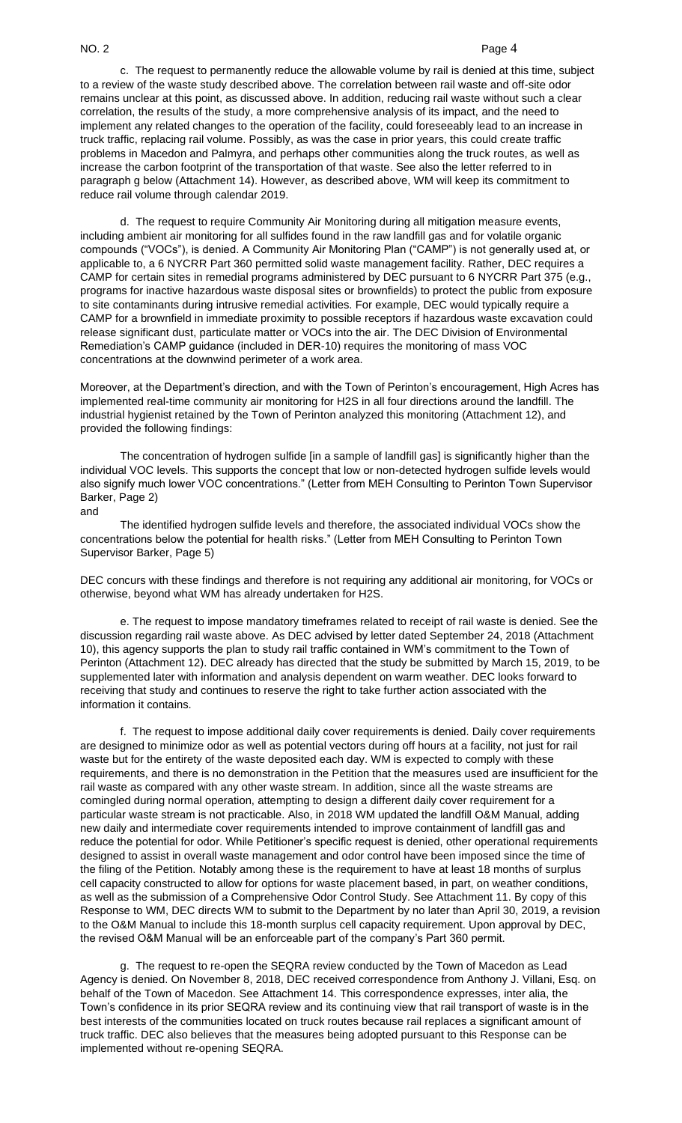## NO. 2 Page 4

c. The request to permanently reduce the allowable volume by rail is denied at this time, subject to a review of the waste study described above. The correlation between rail waste and off-site odor remains unclear at this point, as discussed above. In addition, reducing rail waste without such a clear correlation, the results of the study, a more comprehensive analysis of its impact, and the need to implement any related changes to the operation of the facility, could foreseeably lead to an increase in truck traffic, replacing rail volume. Possibly, as was the case in prior years, this could create traffic problems in Macedon and Palmyra, and perhaps other communities along the truck routes, as well as increase the carbon footprint of the transportation of that waste. See also the letter referred to in paragraph g below (Attachment 14). However, as described above, WM will keep its commitment to reduce rail volume through calendar 2019.

d. The request to require Community Air Monitoring during all mitigation measure events, including ambient air monitoring for all sulfides found in the raw landfill gas and for volatile organic compounds ("VOCs"), is denied. A Community Air Monitoring Plan ("CAMP") is not generally used at, or applicable to, a 6 NYCRR Part 360 permitted solid waste management facility. Rather, DEC requires a CAMP for certain sites in remedial programs administered by DEC pursuant to 6 NYCRR Part 375 (e.g., programs for inactive hazardous waste disposal sites or brownfields) to protect the public from exposure to site contaminants during intrusive remedial activities. For example, DEC would typically require a CAMP for a brownfield in immediate proximity to possible receptors if hazardous waste excavation could release significant dust, particulate matter or VOCs into the air. The DEC Division of Environmental Remediation's CAMP guidance (included in DER-10) requires the monitoring of mass VOC concentrations at the downwind perimeter of a work area.

Moreover, at the Department's direction, and with the Town of Perinton's encouragement, High Acres has implemented real-time community air monitoring for H2S in all four directions around the landfill. The industrial hygienist retained by the Town of Perinton analyzed this monitoring (Attachment 12), and provided the following findings:

The concentration of hydrogen sulfide [in a sample of landfill gas] is significantly higher than the individual VOC levels. This supports the concept that low or non-detected hydrogen sulfide levels would also signify much lower VOC concentrations." (Letter from MEH Consulting to Perinton Town Supervisor Barker, Page 2) and

The identified hydrogen sulfide levels and therefore, the associated individual VOCs show the concentrations below the potential for health risks." (Letter from MEH Consulting to Perinton Town Supervisor Barker, Page 5)

DEC concurs with these findings and therefore is not requiring any additional air monitoring, for VOCs or otherwise, beyond what WM has already undertaken for H2S.

e. The request to impose mandatory timeframes related to receipt of rail waste is denied. See the discussion regarding rail waste above. As DEC advised by letter dated September 24, 2018 (Attachment 10), this agency supports the plan to study rail traffic contained in WM's commitment to the Town of Perinton (Attachment 12). DEC already has directed that the study be submitted by March 15, 2019, to be supplemented later with information and analysis dependent on warm weather. DEC looks forward to receiving that study and continues to reserve the right to take further action associated with the information it contains.

f. The request to impose additional daily cover requirements is denied. Daily cover requirements are designed to minimize odor as well as potential vectors during off hours at a facility, not just for rail waste but for the entirety of the waste deposited each day. WM is expected to comply with these requirements, and there is no demonstration in the Petition that the measures used are insufficient for the rail waste as compared with any other waste stream. In addition, since all the waste streams are comingled during normal operation, attempting to design a different daily cover requirement for a particular waste stream is not practicable. Also, in 2018 WM updated the landfill O&M Manual, adding new daily and intermediate cover requirements intended to improve containment of landfill gas and reduce the potential for odor. While Petitioner's specific request is denied, other operational requirements designed to assist in overall waste management and odor control have been imposed since the time of the filing of the Petition. Notably among these is the requirement to have at least 18 months of surplus cell capacity constructed to allow for options for waste placement based, in part, on weather conditions, as well as the submission of a Comprehensive Odor Control Study. See Attachment 11. By copy of this Response to WM, DEC directs WM to submit to the Department by no later than April 30, 2019, a revision to the O&M Manual to include this 18-month surplus cell capacity requirement. Upon approval by DEC, the revised O&M Manual will be an enforceable part of the company's Part 360 permit.

g. The request to re-open the SEQRA review conducted by the Town of Macedon as Lead Agency is denied. On November 8, 2018, DEC received correspondence from Anthony J. Villani, Esq. on behalf of the Town of Macedon. See Attachment 14. This correspondence expresses, inter alia, the Town's confidence in its prior SEQRA review and its continuing view that rail transport of waste is in the best interests of the communities located on truck routes because rail replaces a significant amount of truck traffic. DEC also believes that the measures being adopted pursuant to this Response can be implemented without re-opening SEQRA.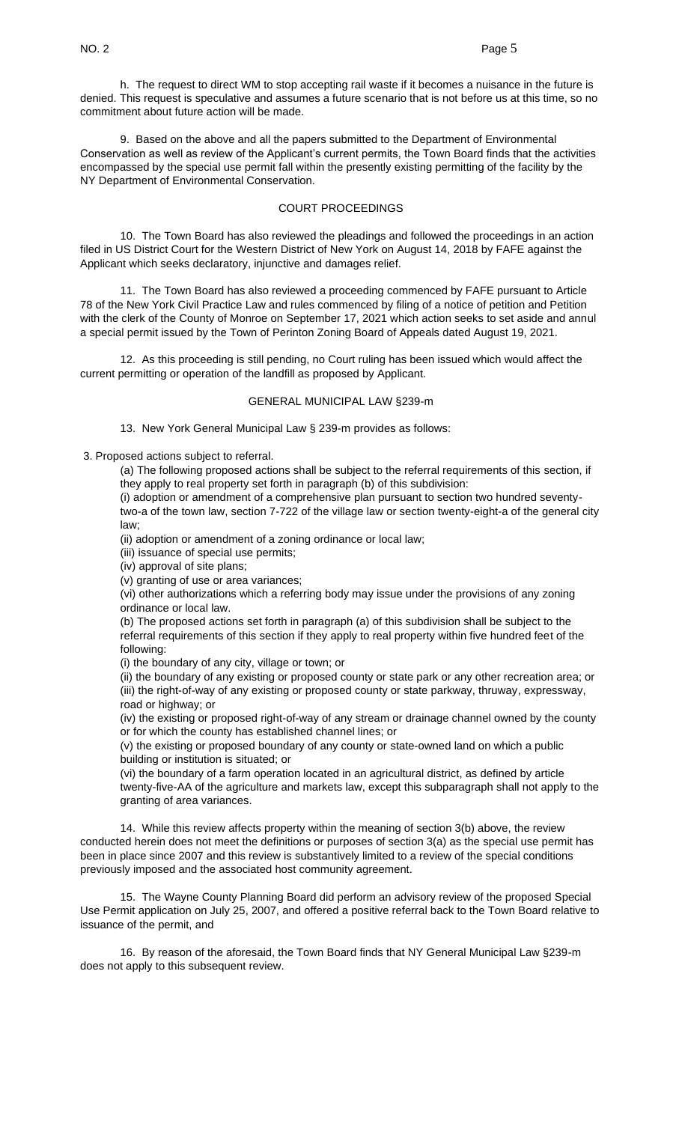h. The request to direct WM to stop accepting rail waste if it becomes a nuisance in the future is denied. This request is speculative and assumes a future scenario that is not before us at this time, so no commitment about future action will be made.

9. Based on the above and all the papers submitted to the Department of Environmental Conservation as well as review of the Applicant's current permits, the Town Board finds that the activities encompassed by the special use permit fall within the presently existing permitting of the facility by the NY Department of Environmental Conservation.

## COURT PROCEEDINGS

10. The Town Board has also reviewed the pleadings and followed the proceedings in an action filed in US District Court for the Western District of New York on August 14, 2018 by FAFE against the Applicant which seeks declaratory, injunctive and damages relief.

11. The Town Board has also reviewed a proceeding commenced by FAFE pursuant to Article 78 of the New York Civil Practice Law and rules commenced by filing of a notice of petition and Petition with the clerk of the County of Monroe on September 17, 2021 which action seeks to set aside and annul a special permit issued by the Town of Perinton Zoning Board of Appeals dated August 19, 2021.

12. As this proceeding is still pending, no Court ruling has been issued which would affect the current permitting or operation of the landfill as proposed by Applicant.

## GENERAL MUNICIPAL LAW §239-m

13. New York General Municipal Law § 239-m provides as follows:

3. Proposed actions subject to referral.

(a) The following proposed actions shall be subject to the referral requirements of this section, if they apply to real property set forth in paragraph (b) of this subdivision:

(i) adoption or amendment of a comprehensive plan pursuant to section two hundred seventytwo-a of the town law, section 7-722 of the village law or section twenty-eight-a of the general city law;

(ii) adoption or amendment of a zoning ordinance or local law;

(iii) issuance of special use permits;

(iv) approval of site plans;

(v) granting of use or area variances;

(vi) other authorizations which a referring body may issue under the provisions of any zoning ordinance or local law.

(b) The proposed actions set forth in paragraph (a) of this subdivision shall be subject to the referral requirements of this section if they apply to real property within five hundred feet of the following:

(i) the boundary of any city, village or town; or

(ii) the boundary of any existing or proposed county or state park or any other recreation area; or (iii) the right-of-way of any existing or proposed county or state parkway, thruway, expressway, road or highway; or

(iv) the existing or proposed right-of-way of any stream or drainage channel owned by the county or for which the county has established channel lines; or

(v) the existing or proposed boundary of any county or state-owned land on which a public building or institution is situated; or

(vi) the boundary of a farm operation located in an agricultural district, as defined by article twenty-five-AA of the agriculture and markets law, except this subparagraph shall not apply to the granting of area variances.

14. While this review affects property within the meaning of section 3(b) above, the review conducted herein does not meet the definitions or purposes of section 3(a) as the special use permit has been in place since 2007 and this review is substantively limited to a review of the special conditions previously imposed and the associated host community agreement.

15. The Wayne County Planning Board did perform an advisory review of the proposed Special Use Permit application on July 25, 2007, and offered a positive referral back to the Town Board relative to issuance of the permit, and

16. By reason of the aforesaid, the Town Board finds that NY General Municipal Law §239-m does not apply to this subsequent review.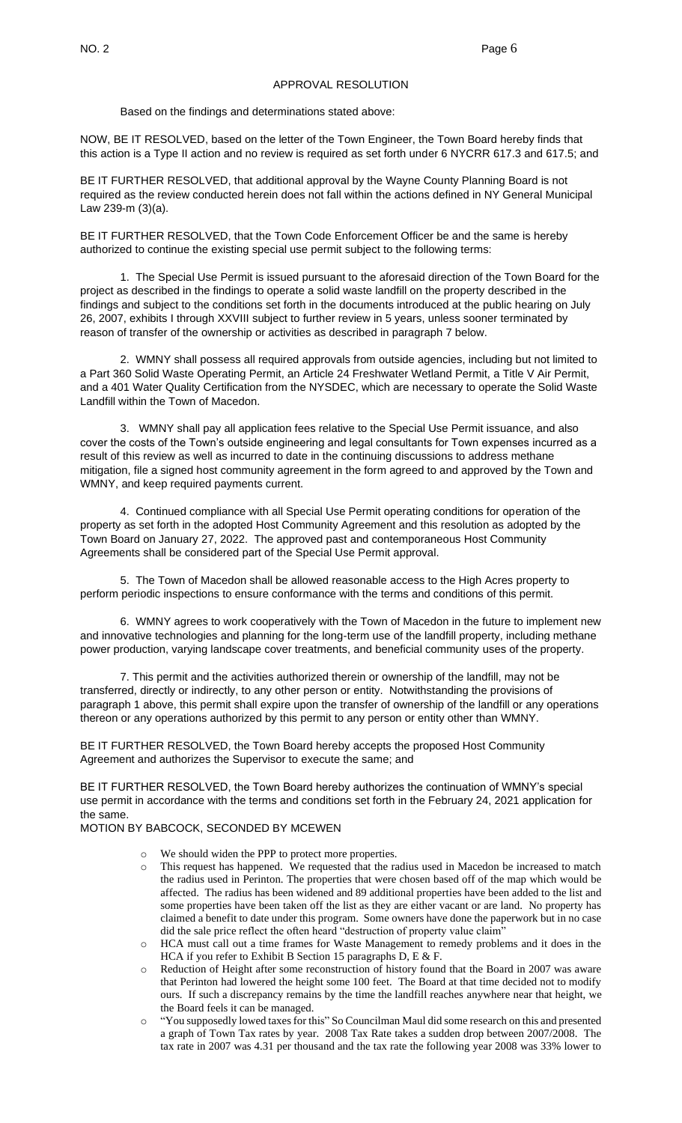## APPROVAL RESOLUTION

Based on the findings and determinations stated above:

NOW, BE IT RESOLVED, based on the letter of the Town Engineer, the Town Board hereby finds that this action is a Type II action and no review is required as set forth under 6 NYCRR 617.3 and 617.5; and

BE IT FURTHER RESOLVED, that additional approval by the Wayne County Planning Board is not required as the review conducted herein does not fall within the actions defined in NY General Municipal Law 239-m (3)(a).

BE IT FURTHER RESOLVED, that the Town Code Enforcement Officer be and the same is hereby authorized to continue the existing special use permit subject to the following terms:

1. The Special Use Permit is issued pursuant to the aforesaid direction of the Town Board for the project as described in the findings to operate a solid waste landfill on the property described in the findings and subject to the conditions set forth in the documents introduced at the public hearing on July 26, 2007, exhibits I through XXVIII subject to further review in 5 years, unless sooner terminated by reason of transfer of the ownership or activities as described in paragraph 7 below.

2. WMNY shall possess all required approvals from outside agencies, including but not limited to a Part 360 Solid Waste Operating Permit, an Article 24 Freshwater Wetland Permit, a Title V Air Permit, and a 401 Water Quality Certification from the NYSDEC, which are necessary to operate the Solid Waste Landfill within the Town of Macedon.

3. WMNY shall pay all application fees relative to the Special Use Permit issuance, and also cover the costs of the Town's outside engineering and legal consultants for Town expenses incurred as a result of this review as well as incurred to date in the continuing discussions to address methane mitigation, file a signed host community agreement in the form agreed to and approved by the Town and WMNY, and keep required payments current.

4. Continued compliance with all Special Use Permit operating conditions for operation of the property as set forth in the adopted Host Community Agreement and this resolution as adopted by the Town Board on January 27, 2022. The approved past and contemporaneous Host Community Agreements shall be considered part of the Special Use Permit approval.

5. The Town of Macedon shall be allowed reasonable access to the High Acres property to perform periodic inspections to ensure conformance with the terms and conditions of this permit.

6. WMNY agrees to work cooperatively with the Town of Macedon in the future to implement new and innovative technologies and planning for the long-term use of the landfill property, including methane power production, varying landscape cover treatments, and beneficial community uses of the property.

7. This permit and the activities authorized therein or ownership of the landfill, may not be transferred, directly or indirectly, to any other person or entity. Notwithstanding the provisions of paragraph 1 above, this permit shall expire upon the transfer of ownership of the landfill or any operations thereon or any operations authorized by this permit to any person or entity other than WMNY.

BE IT FURTHER RESOLVED, the Town Board hereby accepts the proposed Host Community Agreement and authorizes the Supervisor to execute the same; and

BE IT FURTHER RESOLVED, the Town Board hereby authorizes the continuation of WMNY's special use permit in accordance with the terms and conditions set forth in the February 24, 2021 application for the same.

MOTION BY BABCOCK, SECONDED BY MCEWEN

- o We should widen the PPP to protect more properties.
- o This request has happened. We requested that the radius used in Macedon be increased to match the radius used in Perinton. The properties that were chosen based off of the map which would be affected. The radius has been widened and 89 additional properties have been added to the list and some properties have been taken off the list as they are either vacant or are land. No property has claimed a benefit to date under this program. Some owners have done the paperwork but in no case did the sale price reflect the often heard "destruction of property value claim"
- o HCA must call out a time frames for Waste Management to remedy problems and it does in the HCA if you refer to Exhibit B Section 15 paragraphs D, E & F.
- o Reduction of Height after some reconstruction of history found that the Board in 2007 was aware that Perinton had lowered the height some 100 feet. The Board at that time decided not to modify ours. If such a discrepancy remains by the time the landfill reaches anywhere near that height, we the Board feels it can be managed.
- o "You supposedly lowed taxes for this" So Councilman Maul did some research on this and presented a graph of Town Tax rates by year. 2008 Tax Rate takes a sudden drop between 2007/2008. The tax rate in 2007 was 4.31 per thousand and the tax rate the following year 2008 was 33% lower to